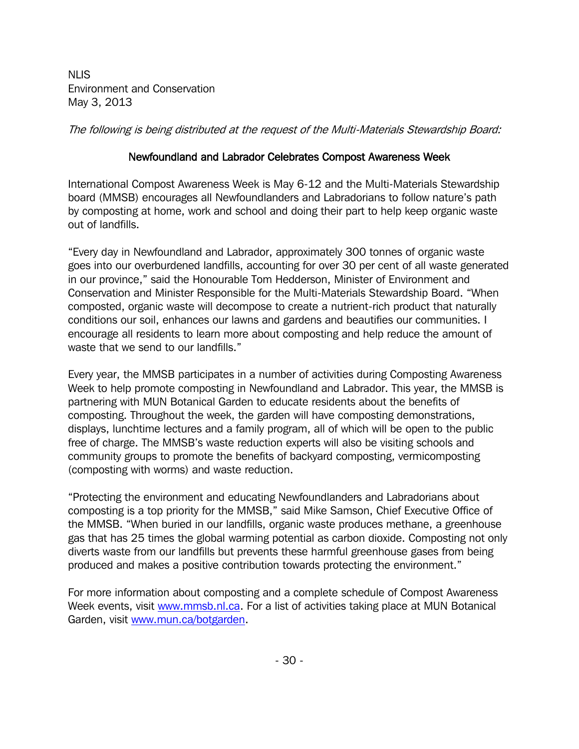NLIS Environment and Conservation May 3, 2013

The following is being distributed at the request of the Multi-Materials Stewardship Board:

## Newfoundland and Labrador Celebrates Compost Awareness Week

International Compost Awareness Week is May 6-12 and the Multi-Materials Stewardship board (MMSB) encourages all Newfoundlanders and Labradorians to follow nature's path by composting at home, work and school and doing their part to help keep organic waste out of landfills.

"Every day in Newfoundland and Labrador, approximately 300 tonnes of organic waste goes into our overburdened landfills, accounting for over 30 per cent of all waste generated in our province," said the Honourable Tom Hedderson, Minister of Environment and Conservation and Minister Responsible for the Multi-Materials Stewardship Board. "When composted, organic waste will decompose to create a nutrient-rich product that naturally conditions our soil, enhances our lawns and gardens and beautifies our communities. I encourage all residents to learn more about composting and help reduce the amount of waste that we send to our landfills."

Every year, the MMSB participates in a number of activities during Composting Awareness Week to help promote composting in Newfoundland and Labrador. This year, the MMSB is partnering with MUN Botanical Garden to educate residents about the benefits of composting. Throughout the week, the garden will have composting demonstrations, displays, lunchtime lectures and a family program, all of which will be open to the public free of charge. The MMSB's waste reduction experts will also be visiting schools and community groups to promote the benefits of backyard composting, vermicomposting (composting with worms) and waste reduction.

"Protecting the environment and educating Newfoundlanders and Labradorians about composting is a top priority for the MMSB," said Mike Samson, Chief Executive Office of the MMSB. "When buried in our landfills, organic waste produces methane, a greenhouse gas that has 25 times the global warming potential as carbon dioxide. Composting not only diverts waste from our landfills but prevents these harmful greenhouse gases from being produced and makes a positive contribution towards protecting the environment."

For more information about composting and a complete schedule of Compost Awareness Week events, visit [www.mmsb.nl.ca.](http://www.mmsb.nl.ca/) For a list of activities taking place at MUN Botanical Garden, visit [www.mun.ca/botgarden.](http://www.mun.ca/botgarden)